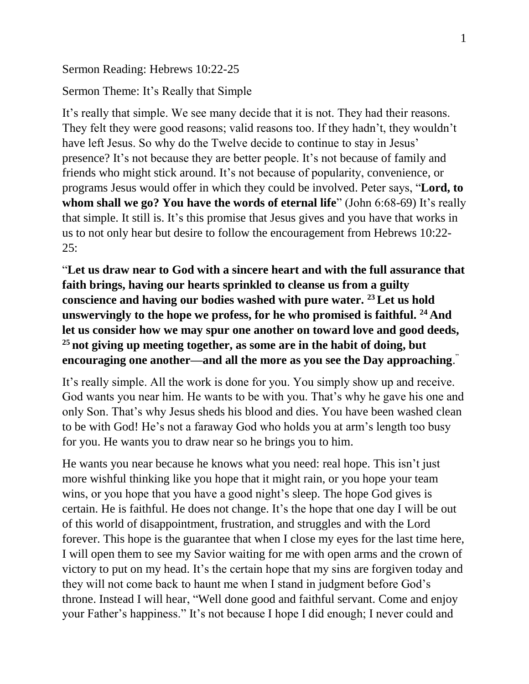Sermon Reading: Hebrews 10:22-25

Sermon Theme: It's Really that Simple

It's really that simple. We see many decide that it is not. They had their reasons. They felt they were good reasons; valid reasons too. If they hadn't, they wouldn't have left Jesus. So why do the Twelve decide to continue to stay in Jesus' presence? It's not because they are better people. It's not because of family and friends who might stick around. It's not because of popularity, convenience, or programs Jesus would offer in which they could be involved. Peter says, "**Lord, to whom shall we go? You have the words of eternal life**" (John 6:68-69) It's really that simple. It still is. It's this promise that Jesus gives and you have that works in us to not only hear but desire to follow the encouragement from Hebrews 10:22-  $25:$ 

"**Let us draw near to God with a sincere heart and with the full assurance that faith brings, having our hearts sprinkled to cleanse us from a guilty conscience and having our bodies washed with pure water. <sup>23</sup>Let us hold unswervingly to the hope we profess, for he who promised is faithful. <sup>24</sup> And let us consider how we may spur one another on toward love and good deeds, <sup>25</sup> not giving up meeting together, as some are in the habit of doing, but encouraging one another—and all the more as you see the Day approaching**. "

It's really simple. All the work is done for you. You simply show up and receive. God wants you near him. He wants to be with you. That's why he gave his one and only Son. That's why Jesus sheds his blood and dies. You have been washed clean to be with God! He's not a faraway God who holds you at arm's length too busy for you. He wants you to draw near so he brings you to him.

He wants you near because he knows what you need: real hope. This isn't just more wishful thinking like you hope that it might rain, or you hope your team wins, or you hope that you have a good night's sleep. The hope God gives is certain. He is faithful. He does not change. It's the hope that one day I will be out of this world of disappointment, frustration, and struggles and with the Lord forever. This hope is the guarantee that when I close my eyes for the last time here, I will open them to see my Savior waiting for me with open arms and the crown of victory to put on my head. It's the certain hope that my sins are forgiven today and they will not come back to haunt me when I stand in judgment before God's throne. Instead I will hear, "Well done good and faithful servant. Come and enjoy your Father's happiness." It's not because I hope I did enough; I never could and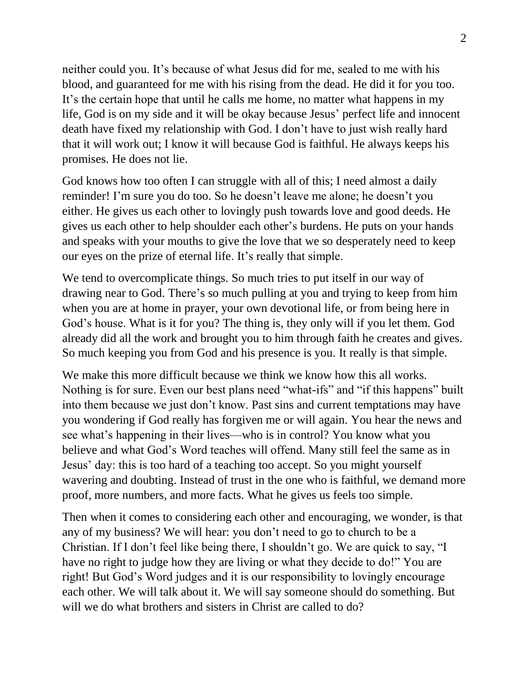neither could you. It's because of what Jesus did for me, sealed to me with his blood, and guaranteed for me with his rising from the dead. He did it for you too. It's the certain hope that until he calls me home, no matter what happens in my life, God is on my side and it will be okay because Jesus' perfect life and innocent death have fixed my relationship with God. I don't have to just wish really hard that it will work out; I know it will because God is faithful. He always keeps his promises. He does not lie.

God knows how too often I can struggle with all of this; I need almost a daily reminder! I'm sure you do too. So he doesn't leave me alone; he doesn't you either. He gives us each other to lovingly push towards love and good deeds. He gives us each other to help shoulder each other's burdens. He puts on your hands and speaks with your mouths to give the love that we so desperately need to keep our eyes on the prize of eternal life. It's really that simple.

We tend to overcomplicate things. So much tries to put itself in our way of drawing near to God. There's so much pulling at you and trying to keep from him when you are at home in prayer, your own devotional life, or from being here in God's house. What is it for you? The thing is, they only will if you let them. God already did all the work and brought you to him through faith he creates and gives. So much keeping you from God and his presence is you. It really is that simple.

We make this more difficult because we think we know how this all works. Nothing is for sure. Even our best plans need "what-ifs" and "if this happens" built into them because we just don't know. Past sins and current temptations may have you wondering if God really has forgiven me or will again. You hear the news and see what's happening in their lives—who is in control? You know what you believe and what God's Word teaches will offend. Many still feel the same as in Jesus' day: this is too hard of a teaching too accept. So you might yourself wavering and doubting. Instead of trust in the one who is faithful, we demand more proof, more numbers, and more facts. What he gives us feels too simple.

Then when it comes to considering each other and encouraging, we wonder, is that any of my business? We will hear: you don't need to go to church to be a Christian. If I don't feel like being there, I shouldn't go. We are quick to say, "I have no right to judge how they are living or what they decide to do!" You are right! But God's Word judges and it is our responsibility to lovingly encourage each other. We will talk about it. We will say someone should do something. But will we do what brothers and sisters in Christ are called to do?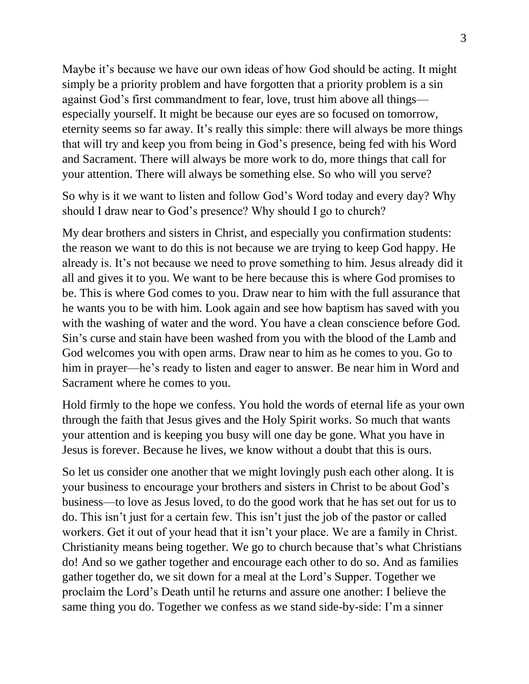Maybe it's because we have our own ideas of how God should be acting. It might simply be a priority problem and have forgotten that a priority problem is a sin against God's first commandment to fear, love, trust him above all things especially yourself. It might be because our eyes are so focused on tomorrow, eternity seems so far away. It's really this simple: there will always be more things that will try and keep you from being in God's presence, being fed with his Word and Sacrament. There will always be more work to do, more things that call for your attention. There will always be something else. So who will you serve?

So why is it we want to listen and follow God's Word today and every day? Why should I draw near to God's presence? Why should I go to church?

My dear brothers and sisters in Christ, and especially you confirmation students: the reason we want to do this is not because we are trying to keep God happy. He already is. It's not because we need to prove something to him. Jesus already did it all and gives it to you. We want to be here because this is where God promises to be. This is where God comes to you. Draw near to him with the full assurance that he wants you to be with him. Look again and see how baptism has saved with you with the washing of water and the word. You have a clean conscience before God. Sin's curse and stain have been washed from you with the blood of the Lamb and God welcomes you with open arms. Draw near to him as he comes to you. Go to him in prayer—he's ready to listen and eager to answer. Be near him in Word and Sacrament where he comes to you.

Hold firmly to the hope we confess. You hold the words of eternal life as your own through the faith that Jesus gives and the Holy Spirit works. So much that wants your attention and is keeping you busy will one day be gone. What you have in Jesus is forever. Because he lives, we know without a doubt that this is ours.

So let us consider one another that we might lovingly push each other along. It is your business to encourage your brothers and sisters in Christ to be about God's business—to love as Jesus loved, to do the good work that he has set out for us to do. This isn't just for a certain few. This isn't just the job of the pastor or called workers. Get it out of your head that it isn't your place. We are a family in Christ. Christianity means being together. We go to church because that's what Christians do! And so we gather together and encourage each other to do so. And as families gather together do, we sit down for a meal at the Lord's Supper. Together we proclaim the Lord's Death until he returns and assure one another: I believe the same thing you do. Together we confess as we stand side-by-side: I'm a sinner